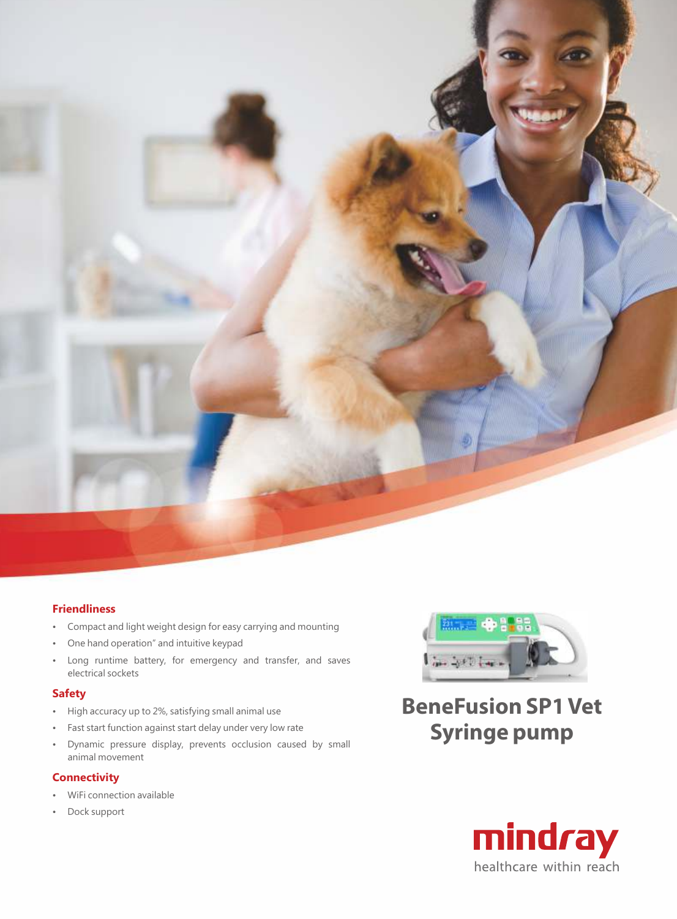

## **Friendliness**

- Compact and light weight design for easy carrying and mounting
- One hand operation" and intuitive keypad
- Long runtime battery, for emergency and transfer, and saves electrical sockets

## **Safety**

- High accuracy up to 2%, satisfying small animal use
- Fast start function against start delay under very low rate
- Dynamic pressure display, prevents occlusion caused by small animal movement

## **Connectivity**

- WiFi connection available
- Dock support



**BeneFusion SP1 Vet Syringe pump**